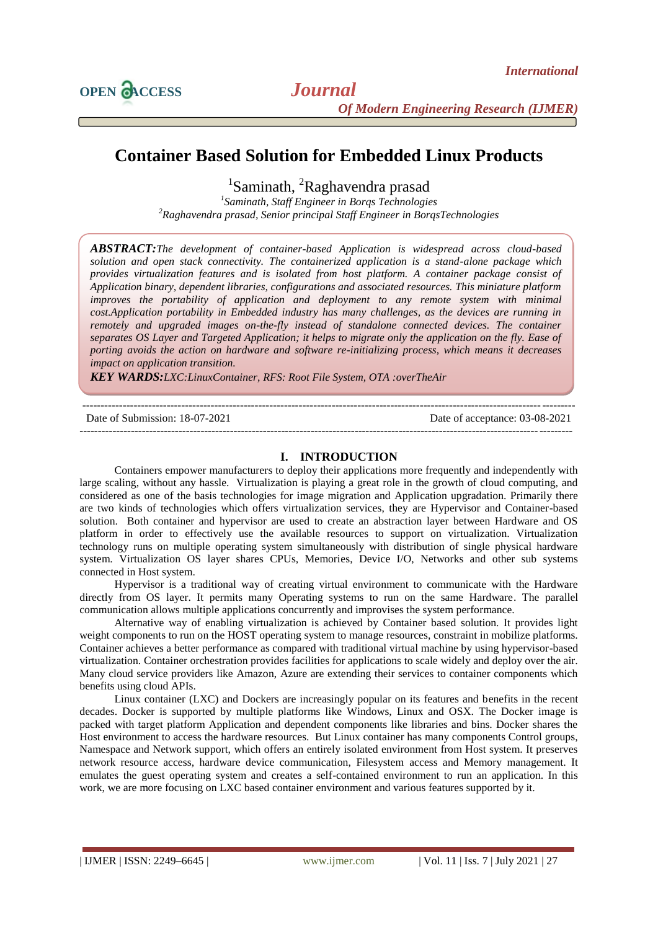

# **Container Based Solution for Embedded Linux Products**

<sup>1</sup>Saminath, <sup>2</sup>Raghavendra prasad

*1 Saminath, Staff Engineer in Borqs Technologies <sup>2</sup>Raghavendra prasad, Senior principal Staff Engineer in BorqsTechnologies*

*ABSTRACT:The development of container-based Application is widespread across cloud-based solution and open stack connectivity. The containerized application is a stand-alone package which provides virtualization features and is isolated from host platform. A container package consist of Application binary, dependent libraries, configurations and associated resources. This miniature platform improves the portability of application and deployment to any remote system with minimal cost.Application portability in Embedded industry has many challenges, as the devices are running in remotely and upgraded images on-the-fly instead of standalone connected devices. The container separates OS Layer and Targeted Application; it helps to migrate only the application on the fly. Ease of porting avoids the action on hardware and software re-initializing process, which means it decreases impact on application transition.*

*KEY WARDS:LXC:LinuxContainer, RFS: Root File System, OTA :overTheAir*

--------------------------------------------------------------------------------------------------------------------------------------

Date of Submission: 18-07-2021 Date of acceptance: 03-08-2021

--------------------------------------------------------------------------------------------------------------------------------------

# **I. INTRODUCTION**

Containers empower manufacturers to deploy their applications more frequently and independently with large scaling, without any hassle. Virtualization is playing a great role in the growth of cloud computing, and considered as one of the basis technologies for image migration and Application upgradation. Primarily there are two kinds of technologies which offers virtualization services, they are Hypervisor and Container-based solution. Both container and hypervisor are used to create an abstraction layer between Hardware and OS platform in order to effectively use the available resources to support on virtualization. Virtualization technology runs on multiple operating system simultaneously with distribution of single physical hardware system. Virtualization OS layer shares CPUs, Memories, Device I/O, Networks and other sub systems connected in Host system.

Hypervisor is a traditional way of creating virtual environment to communicate with the Hardware directly from OS layer. It permits many Operating systems to run on the same Hardware. The parallel communication allows multiple applications concurrently and improvises the system performance.

Alternative way of enabling virtualization is achieved by Container based solution. It provides light weight components to run on the HOST operating system to manage resources, constraint in mobilize platforms. Container achieves a better performance as compared with traditional virtual machine by using hypervisor-based virtualization. Container orchestration provides facilities for applications to scale widely and deploy over the air. Many cloud service providers like Amazon, Azure are extending their services to container components which benefits using cloud APIs.

Linux container (LXC) and Dockers are increasingly popular on its features and benefits in the recent decades. Docker is supported by multiple platforms like Windows, Linux and OSX. The Docker image is packed with target platform Application and dependent components like libraries and bins. Docker shares the Host environment to access the hardware resources. But Linux container has many components Control groups, Namespace and Network support, which offers an entirely isolated environment from Host system. It preserves network resource access, hardware device communication, Filesystem access and Memory management. It emulates the guest operating system and creates a self-contained environment to run an application. In this work, we are more focusing on LXC based container environment and various features supported by it.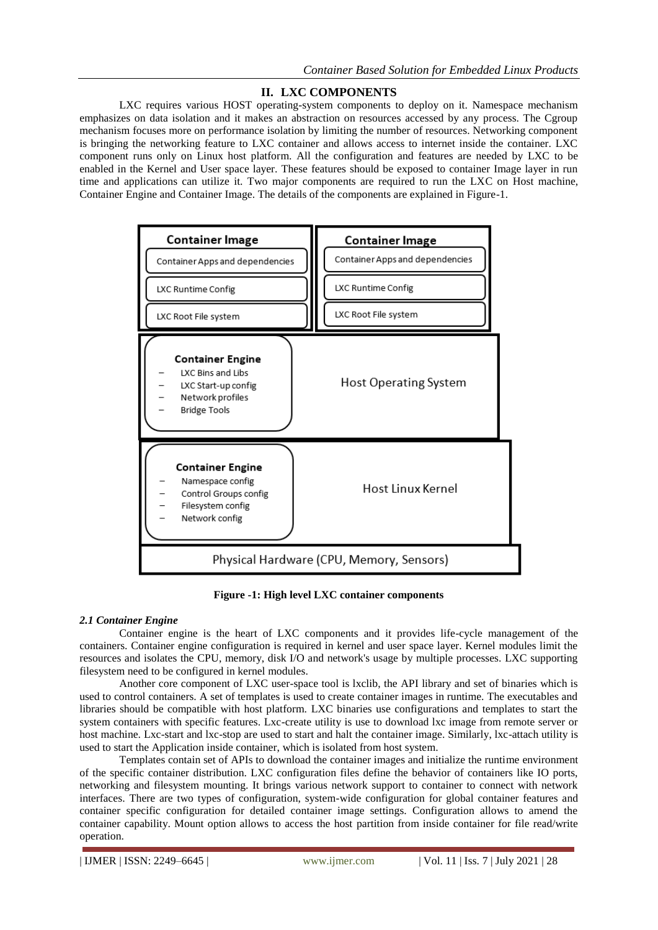# **II. LXC COMPONENTS**

LXC requires various HOST operating-system components to deploy on it. Namespace mechanism emphasizes on data isolation and it makes an abstraction on resources accessed by any process. The Cgroup mechanism focuses more on performance isolation by limiting the number of resources. Networking component is bringing the networking feature to LXC container and allows access to internet inside the container. LXC component runs only on Linux host platform. All the configuration and features are needed by LXC to be enabled in the Kernel and User space layer. These features should be exposed to container Image layer in run time and applications can utilize it. Two major components are required to run the LXC on Host machine, Container Engine and Container Image. The details of the components are explained in Figure-1.



**Figure -1: High level LXC container components**

# *2.1 Container Engine*

Container engine is the heart of LXC components and it provides life-cycle management of the containers. Container engine configuration is required in kernel and user space layer. Kernel modules limit the resources and isolates the CPU, memory, disk I/O and network's usage by multiple processes. LXC supporting filesystem need to be configured in kernel modules.

Another core component of LXC user-space tool is lxclib, the API library and set of binaries which is used to control containers. A set of templates is used to create container images in runtime. The executables and libraries should be compatible with host platform. LXC binaries use configurations and templates to start the system containers with specific features. Lxc-create utility is use to download lxc image from remote server or host machine. Lxc-start and lxc-stop are used to start and halt the container image. Similarly, lxc-attach utility is used to start the Application inside container, which is isolated from host system.

Templates contain set of APIs to download the container images and initialize the runtime environment of the specific container distribution. LXC configuration files define the behavior of containers like IO ports, networking and filesystem mounting. It brings various network support to container to connect with network interfaces. There are two types of configuration, system-wide configuration for global container features and container specific configuration for detailed container image settings. Configuration allows to amend the container capability. Mount option allows to access the host partition from inside container for file read/write operation.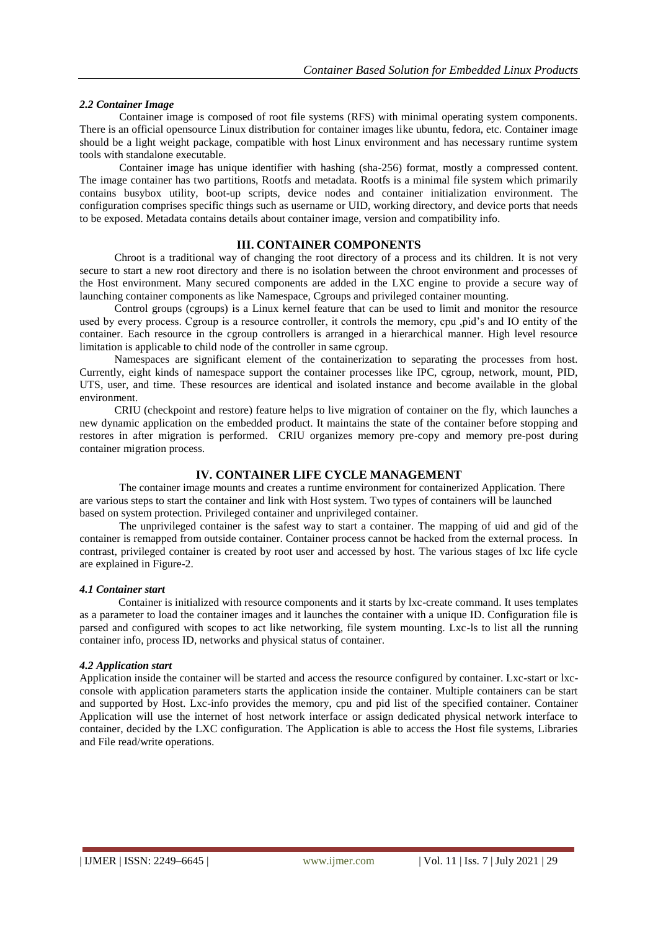### *2.2 Container Image*

Container image is composed of root file systems (RFS) with minimal operating system components. There is an official opensource Linux distribution for container images like ubuntu, fedora, etc. Container image should be a light weight package, compatible with host Linux environment and has necessary runtime system tools with standalone executable.

Container image has unique identifier with hashing (sha-256) format, mostly a compressed content. The image container has two partitions, Rootfs and metadata. Rootfs is a minimal file system which primarily contains busybox utility, boot-up scripts, device nodes and container initialization environment. The configuration comprises specific things such as username or UID, working directory, and device ports that needs to be exposed. Metadata contains details about container image, version and compatibility info.

### **III. CONTAINER COMPONENTS**

Chroot is a traditional way of changing the root directory of a process and its children. It is not very secure to start a new root directory and there is no isolation between the chroot environment and processes of the Host environment. Many secured components are added in the LXC engine to provide a secure way of launching container components as like Namespace, Cgroups and privileged container mounting.

Control groups (cgroups) is a Linux kernel feature that can be used to limit and monitor the resource used by every process. Cgroup is a resource controller, it controls the memory, cpu ,pid's and IO entity of the container. Each resource in the cgroup controllers is arranged in a hierarchical manner. High level resource limitation is applicable to child node of the controller in same cgroup.

Namespaces are significant element of the containerization to separating the processes from host. Currently, eight kinds of namespace support the container processes like IPC, cgroup, network, mount, PID, UTS, user, and time. These resources are identical and isolated instance and become available in the global environment.

CRIU (checkpoint and restore) feature helps to live migration of container on the fly, which launches a new dynamic application on the embedded product. It maintains the state of the container before stopping and restores in after migration is performed. CRIU organizes memory pre-copy and memory pre-post during container migration process.

# **IV. CONTAINER LIFE CYCLE MANAGEMENT**

The container image mounts and creates a runtime environment for containerized Application. There are various steps to start the container and link with Host system. Two types of containers will be launched based on system protection. Privileged container and unprivileged container.

The unprivileged container is the safest way to start a container. The mapping of uid and gid of the container is remapped from outside container. Container process cannot be hacked from the external process. In contrast, privileged container is created by root user and accessed by host. The various stages of lxc life cycle are explained in Figure-2.

### *4.1 Container start*

Container is initialized with resource components and it starts by lxc-create command. It uses templates as a parameter to load the container images and it launches the container with a unique ID. Configuration file is parsed and configured with scopes to act like networking, file system mounting. Lxc-ls to list all the running container info, process ID, networks and physical status of container.

#### *4.2 Application start*

Application inside the container will be started and access the resource configured by container. Lxc-start or lxcconsole with application parameters starts the application inside the container. Multiple containers can be start and supported by Host. Lxc-info provides the memory, cpu and pid list of the specified container. Container Application will use the internet of host network interface or assign dedicated physical network interface to container, decided by the LXC configuration. The Application is able to access the Host file systems, Libraries and File read/write operations.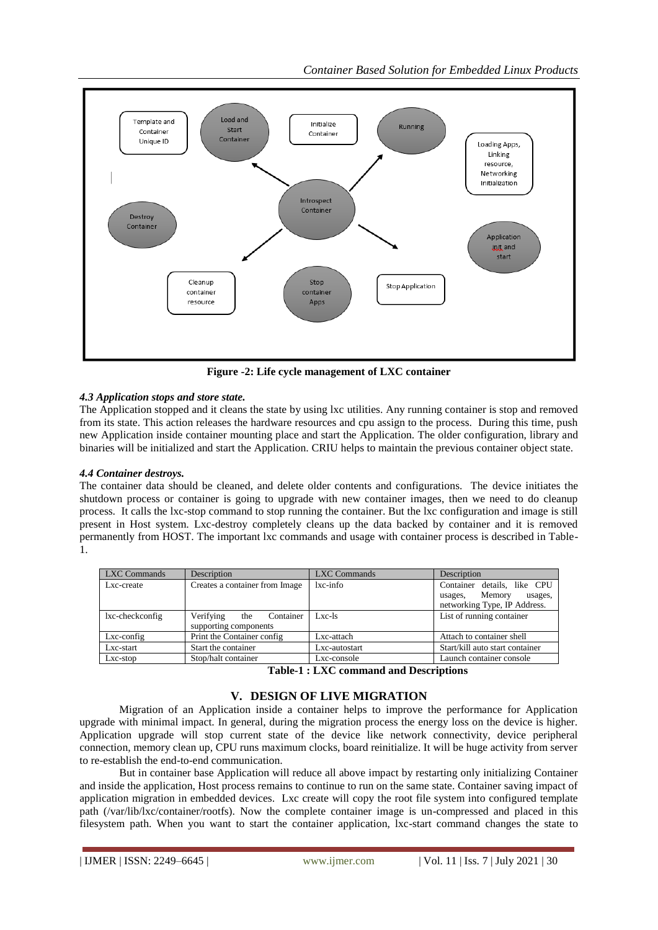

**Figure -2: Life cycle management of LXC container**

# *4.3 Application stops and store state.*

The Application stopped and it cleans the state by using lxc utilities. Any running container is stop and removed from its state. This action releases the hardware resources and cpu assign to the process. During this time, push new Application inside container mounting place and start the Application. The older configuration, library and binaries will be initialized and start the Application. CRIU helps to maintain the previous container object state.

# *4.4 Container destroys.*

The container data should be cleaned, and delete older contents and configurations. The device initiates the shutdown process or container is going to upgrade with new container images, then we need to do cleanup process. It calls the lxc-stop command to stop running the container. But the lxc configuration and image is still present in Host system. Lxc-destroy completely cleans up the data backed by container and it is removed permanently from HOST. The important lxc commands and usage with container process is described in Table-1.

| LXC Commands    | Description                                            | LXC Commands  | Description                                                                                 |
|-----------------|--------------------------------------------------------|---------------|---------------------------------------------------------------------------------------------|
| Lxc-create      | Creates a container from Image                         | $lxc$ -info   | Container details, like CPU<br>Memory<br>usages,<br>usages,<br>networking Type, IP Address. |
| lxc-checkconfig | Verifying<br>Container<br>the<br>supporting components | $Lxc-1s$      | List of running container                                                                   |
| $Lxc$ -config   | Print the Container config                             | Lxc-attach    | Attach to container shell                                                                   |
| Lxc-start       | Start the container                                    | Lxc-autostart | Start/kill auto start container                                                             |
| Lxc-stop        | Stop/halt container                                    | Lxc-console   | Launch container console                                                                    |

**Table-1 : LXC command and Descriptions**

# **V. DESIGN OF LIVE MIGRATION**

Migration of an Application inside a container helps to improve the performance for Application upgrade with minimal impact. In general, during the migration process the energy loss on the device is higher. Application upgrade will stop current state of the device like network connectivity, device peripheral connection, memory clean up, CPU runs maximum clocks, board reinitialize. It will be huge activity from server to re-establish the end-to-end communication.

But in container base Application will reduce all above impact by restarting only initializing Container and inside the application, Host process remains to continue to run on the same state. Container saving impact of application migration in embedded devices. Lxc create will copy the root file system into configured template path (/var/lib/lxc/container/rootfs). Now the complete container image is un-compressed and placed in this filesystem path. When you want to start the container application, lxc-start command changes the state to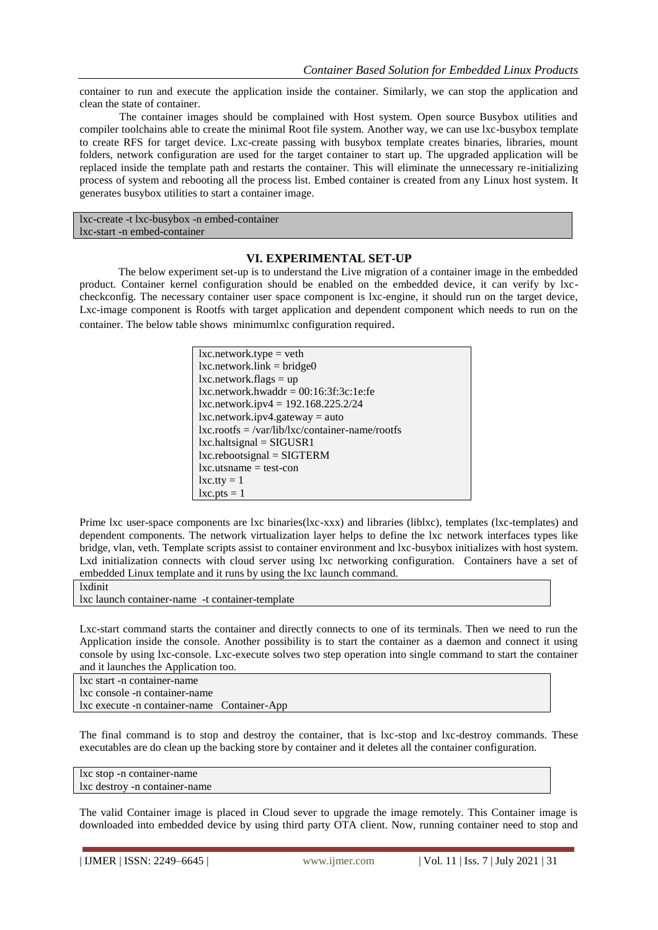container to run and execute the application inside the container. Similarly, we can stop the application and clean the state of container.

The container images should be complained with Host system. Open source Busybox utilities and compiler toolchains able to create the minimal Root file system. Another way, we can use lxc-busybox template to create RFS for target device. Lxc-create passing with busybox template creates binaries, libraries, mount folders, network configuration are used for the target container to start up. The upgraded application will be replaced inside the template path and restarts the container. This will eliminate the unnecessary re-initializing process of system and rebooting all the process list. Embed container is created from any Linux host system. It generates busybox utilities to start a container image.

lxc-create -t lxc-busybox -n embed-container lxc-start -n embed-container

# **VI. EXPERIMENTAL SET-UP**

The below experiment set-up is to understand the Live migration of a container image in the embedded product. Container kernel configuration should be enabled on the embedded device, it can verify by lxccheckconfig. The necessary container user space component is lxc-engine, it should run on the target device, Lxc-image component is Rootfs with target application and dependent component which needs to run on the container. The below table shows minimumlxc configuration required.

| $lxc.net work_type = veth$                        |
|---------------------------------------------------|
| $lxc.network-link = bridge0$                      |
| $lxc.net work-flags = up$                         |
| $lxc.net work. hwaddr = 00:16:3f:3c:1e:fe$        |
| lxc.network.ipv4 = $192.168.225.2/24$             |
| $lxc.net work.jpg4.ga feway = auto$               |
| $lxc(roots = /var/lib/lxc/container-name/rootfs)$ |
| $lxc.haltsignal = SIGUSR1$                        |
| $lxc.$ rebootsignal = SIGTERM                     |
| $lxc.utsname = test-con$                          |
| $lxc. tty = 1$                                    |
| $lxc.pts = 1$                                     |

Prime lxc user-space components are lxc binaries(lxc-xxx) and libraries (liblxc), templates (lxc-templates) and dependent components. The network virtualization layer helps to define the lxc network interfaces types like bridge, vlan, veth. Template scripts assist to container environment and lxc-busybox initializes with host system. Lxd initialization connects with cloud server using lxc networking configuration. Containers have a set of embedded Linux template and it runs by using the lxc launch command.

```
lxdinit
```
lxc launch container-name -t container-template

Lxc-start command starts the container and directly connects to one of its terminals. Then we need to run the Application inside the console. Another possibility is to start the container as a daemon and connect it using console by using lxc-console. Lxc-execute solves two step operation into single command to start the container and it launches the Application too.

lxc start -n container-name lxc console -n container-name lxc execute -n container-name Container-App

The final command is to stop and destroy the container, that is lxc-stop and lxc-destroy commands. These executables are do clean up the backing store by container and it deletes all the container configuration.

lxc stop -n container-name lxc destroy -n container-name

The valid Container image is placed in Cloud sever to upgrade the image remotely. This Container image is downloaded into embedded device by using third party OTA client. Now, running container need to stop and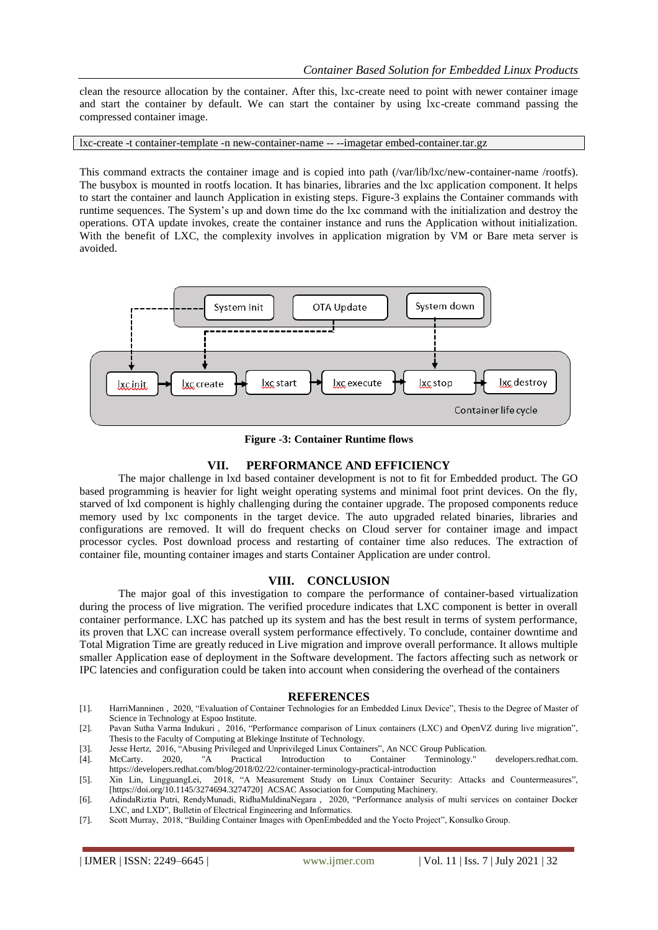clean the resource allocation by the container. After this, lxc-create need to point with newer container image and start the container by default. We can start the container by using lxc-create command passing the compressed container image.

lxc-create -t container-template -n new-container-name -- --imagetar embed-container.tar.gz

This command extracts the container image and is copied into path (/var/lib/lxc/new-container-name /rootfs). The busybox is mounted in rootfs location. It has binaries, libraries and the lxc application component. It helps to start the container and launch Application in existing steps. Figure-3 explains the Container commands with runtime sequences. The System's up and down time do the lxc command with the initialization and destroy the operations. OTA update invokes, create the container instance and runs the Application without initialization. With the benefit of LXC, the complexity involves in application migration by VM or Bare meta server is avoided.



**Figure -3: Container Runtime flows**

# **VII. PERFORMANCE AND EFFICIENCY**

The major challenge in lxd based container development is not to fit for Embedded product. The GO based programming is heavier for light weight operating systems and minimal foot print devices. On the fly, starved of lxd component is highly challenging during the container upgrade. The proposed components reduce memory used by lxc components in the target device. The auto upgraded related binaries, libraries and configurations are removed. It will do frequent checks on Cloud server for container image and impact processor cycles. Post download process and restarting of container time also reduces. The extraction of container file, mounting container images and starts Container Application are under control.

# **VIII. CONCLUSION**

The major goal of this investigation to compare the performance of container-based virtualization during the process of live migration. The verified procedure indicates that LXC component is better in overall container performance. LXC has patched up its system and has the best result in terms of system performance, its proven that LXC can increase overall system performance effectively. To conclude, container downtime and Total Migration Time are greatly reduced in Live migration and improve overall performance. It allows multiple smaller Application ease of deployment in the Software development. The factors affecting such as network or IPC latencies and configuration could be taken into account when considering the overhead of the containers

#### **REFERENCES**

- [1]. HarriManninen , 2020, "Evaluation of Container Technologies for an Embedded Linux Device", Thesis to the Degree of Master of Science in Technology at Espoo Institute.
- [2]. Pavan Sutha Varma Indukuri , 2016, "Performance comparison of Linux containers (LXC) and OpenVZ during live migration", Thesis to the Faculty of Computing at Blekinge Institute of Technology.
- [3]. Jesse Hertz, 2016, "Abusing Privileged and Unprivileged Linux Containers", An NCC Group Publication.
- McCarty. 2020, "A Practical Introduction to Container Terminology." developers.redhat.com. https://developers.redhat.com/blog/2018/02/22/container-terminology-practical-introduction
- [5]. Xin Lin, LingguangLei, 2018, "A Measurement Study on Linux Container Security: Attacks and Countermeasures", [https://doi.org/10.1145/3274694.3274720] ACSAC Association for Computing Machinery.
- [6]. AdindaRiztia Putri, RendyMunadi, RidhaMuldinaNegara , 2020, "Performance analysis of multi services on container Docker LXC, and LXD", Bulletin of Electrical Engineering and Informatics.
- [7]. Scott Murray, 2018, "Building Container Images with OpenEmbedded and the Yocto Project", Konsulko Group.